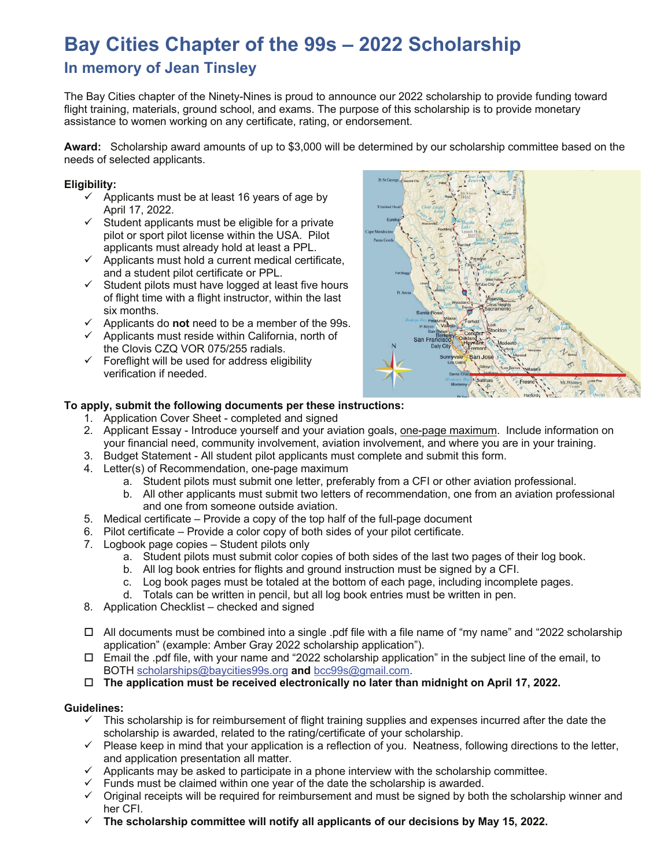# **Bay Cities Chapter of the 99s – 2022 Scholarship**

# **In memory of Jean Tinsley**

The Bay Cities chapter of the Ninety-Nines is proud to announce our 2022 scholarship to provide funding toward flight training, materials, ground school, and exams. The purpose of this scholarship is to provide monetary assistance to women working on any certificate, rating, or endorsement.

**Award:** Scholarship award amounts of up to \$3,000 will be determined by our scholarship committee based on the needs of selected applicants.

#### **Eligibility:**

- $\checkmark$  Applicants must be at least 16 years of age by April 17, 2022.
- $\checkmark$  Student applicants must be eligible for a private pilot or sport pilot license within the USA. Pilot applicants must already hold at least a PPL.
- $\checkmark$  Applicants must hold a current medical certificate, and a student pilot certificate or PPL.
- $\checkmark$  Student pilots must have logged at least five hours of flight time with a flight instructor, within the last six months.
- $\checkmark$  Applicants do **not** need to be a member of the 99s.
- $\checkmark$  Applicants must reside within California, north of the Clovis CZQ VOR 075/255 radials.
- $\checkmark$  Foreflight will be used for address eligibility verification if needed.



#### **To apply, submit the following documents per these instructions:**

- 1. Application Cover Sheet completed and signed
- 2. Applicant Essay Introduce yourself and your aviation goals, one-page maximum. Include information on your financial need, community involvement, aviation involvement, and where you are in your training.
- 3. Budget Statement All student pilot applicants must complete and submit this form.
- 4. Letter(s) of Recommendation, one-page maximum
	- a. Student pilots must submit one letter, preferably from a CFI or other aviation professional.
	- b. All other applicants must submit two letters of recommendation, one from an aviation professional and one from someone outside aviation.
- 5. Medical certificate Provide a copy of the top half of the full-page document
- 6. Pilot certificate Provide a color copy of both sides of your pilot certificate.
- 7. Logbook page copies Student pilots only
	- a. Student pilots must submit color copies of both sides of the last two pages of their log book.
	- b. All log book entries for flights and ground instruction must be signed by a CFI.
	- c. Log book pages must be totaled at the bottom of each page, including incomplete pages.
	- d. Totals can be written in pencil, but all log book entries must be written in pen.
- 8. Application Checklist checked and signed
- $\Box$  All documents must be combined into a single .pdf file with a file name of "my name" and "2022 scholarship application" (example: Amber Gray 2022 scholarship application").
- $\Box$  Email the .pdf file, with your name and "2022 scholarship application" in the subject line of the email, to BOTH scholarships@baycities99s.org **and** bcc99s@gmail.com.
- □ The application must be received electronically no later than midnight on April 17, 2022.

#### **Guidelines:**

- $\checkmark$  This scholarship is for reimbursement of flight training supplies and expenses incurred after the date the scholarship is awarded, related to the rating/certificate of your scholarship.
- $\checkmark$  Please keep in mind that your application is a reflection of you. Neatness, following directions to the letter, and application presentation all matter.
- $\checkmark$  Applicants may be asked to participate in a phone interview with the scholarship committee.
- $\checkmark$  Funds must be claimed within one year of the date the scholarship is awarded.
- $\checkmark$  Original receipts will be required for reimbursement and must be signed by both the scholarship winner and her CFI.
- ü **The scholarship committee will notify all applicants of our decisions by May 15, 2022.**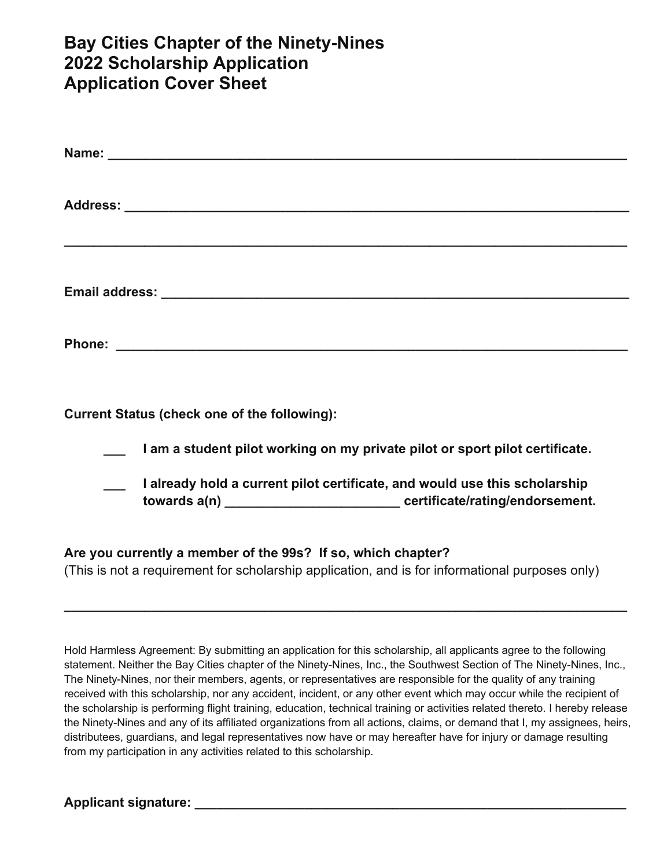# **Bay Cities Chapter of the Ninety-Nines 2022 Scholarship Application Application Cover Sheet**

| <b>Current Status (check one of the following):</b>                                                                                                             |
|-----------------------------------------------------------------------------------------------------------------------------------------------------------------|
| I am a student pilot working on my private pilot or sport pilot certificate.                                                                                    |
| I already hold a current pilot certificate, and would use this scholarship                                                                                      |
| Are you currently a member of the 99s? If so, which chapter?<br>(This is not a requirement for scholarship application, and is for informational purposes only) |

Hold Harmless Agreement: By submitting an application for this scholarship, all applicants agree to the following statement. Neither the Bay Cities chapter of the Ninety-Nines, Inc., the Southwest Section of The Ninety-Nines, Inc., The Ninety-Nines, nor their members, agents, or representatives are responsible for the quality of any training received with this scholarship, nor any accident, incident, or any other event which may occur while the recipient of the scholarship is performing flight training, education, technical training or activities related thereto. I hereby release the Ninety-Nines and any of its affiliated organizations from all actions, claims, or demand that I, my assignees, heirs, distributees, guardians, and legal representatives now have or may hereafter have for injury or damage resulting from my participation in any activities related to this scholarship.

**\_\_\_\_\_\_\_\_\_\_\_\_\_\_\_\_\_\_\_\_\_\_\_\_\_\_\_\_\_\_\_\_\_\_\_\_\_\_\_\_\_\_\_\_\_\_\_\_\_\_\_\_\_\_\_\_\_\_\_\_\_\_\_\_\_\_\_\_\_\_\_\_\_\_\_\_\_** 

Applicant signature: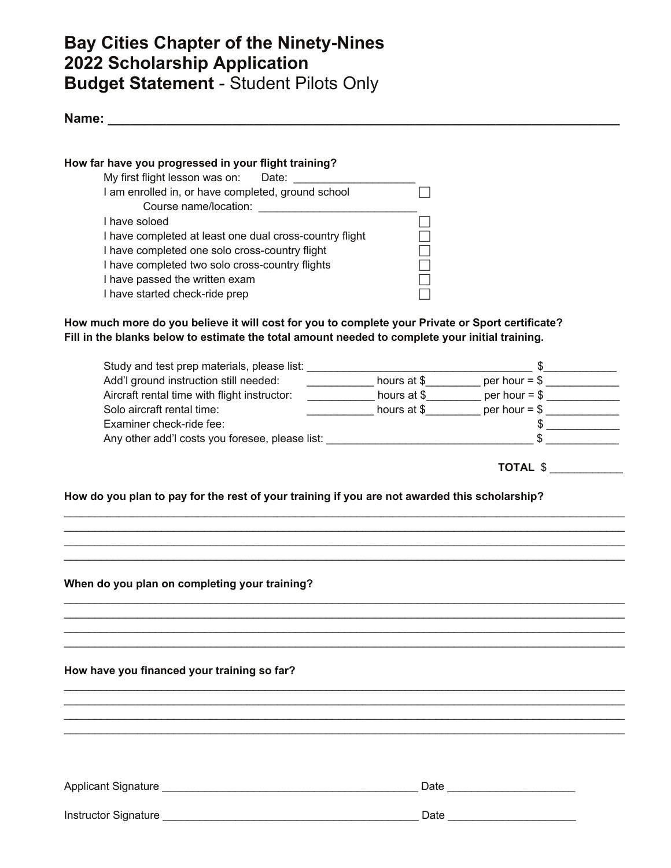# **Bay Cities Chapter of the Ninety-Nines 2022 Scholarship Application Budget Statement** - Student Pilots Only

**Name: \_\_\_\_\_\_\_\_\_\_\_\_\_\_\_\_\_\_\_\_\_\_\_\_\_\_\_\_\_\_\_\_\_\_\_\_\_\_\_\_\_\_\_\_\_\_\_\_\_\_\_\_\_\_\_\_\_\_\_\_\_\_\_\_\_\_\_\_\_\_**

#### **How far have you progressed in your flight training?**

| My first flight lesson was on:<br>Date:                 |  |  |  |
|---------------------------------------------------------|--|--|--|
| I am enrolled in, or have completed, ground school      |  |  |  |
| Course name/location:                                   |  |  |  |
| I have soloed                                           |  |  |  |
| I have completed at least one dual cross-country flight |  |  |  |
| I have completed one solo cross-country flight          |  |  |  |
| I have completed two solo cross-country flights         |  |  |  |
| I have passed the written exam                          |  |  |  |
| I have started check-ride prep                          |  |  |  |

**How much more do you believe it will cost for you to complete your Private or Sport certificate? Fill in the blanks below to estimate the total amount needed to complete your initial training.**

| Study and test prep materials, please list:     |             |                 |  |
|-------------------------------------------------|-------------|-----------------|--|
| Add'I ground instruction still needed:          | hours at \$ | per hour $=$ \$ |  |
| Aircraft rental time with flight instructor:    | hours at \$ | per hour $=$ \$ |  |
| Solo aircraft rental time:                      | hours at \$ | per hour $=$ \$ |  |
| Examiner check-ride fee:                        |             |                 |  |
| Any other add'l costs you foresee, please list: |             |                 |  |

\_\_\_\_\_\_\_\_\_\_\_\_\_\_\_\_\_\_\_\_\_\_\_\_\_\_\_\_\_\_\_\_\_\_\_\_\_\_\_\_\_\_\_\_\_\_\_\_\_\_\_\_\_\_\_\_\_\_\_\_\_\_\_\_\_\_\_\_\_\_\_\_\_\_\_\_\_\_\_\_\_\_\_\_\_\_\_\_\_\_\_\_  $\mathcal{L}_\mathcal{L} = \mathcal{L}_\mathcal{L} = \mathcal{L}_\mathcal{L} = \mathcal{L}_\mathcal{L} = \mathcal{L}_\mathcal{L} = \mathcal{L}_\mathcal{L} = \mathcal{L}_\mathcal{L} = \mathcal{L}_\mathcal{L} = \mathcal{L}_\mathcal{L} = \mathcal{L}_\mathcal{L} = \mathcal{L}_\mathcal{L} = \mathcal{L}_\mathcal{L} = \mathcal{L}_\mathcal{L} = \mathcal{L}_\mathcal{L} = \mathcal{L}_\mathcal{L} = \mathcal{L}_\mathcal{L} = \mathcal{L}_\mathcal{L}$  $\mathcal{L}_\mathcal{L} = \mathcal{L}_\mathcal{L} = \mathcal{L}_\mathcal{L} = \mathcal{L}_\mathcal{L} = \mathcal{L}_\mathcal{L} = \mathcal{L}_\mathcal{L} = \mathcal{L}_\mathcal{L} = \mathcal{L}_\mathcal{L} = \mathcal{L}_\mathcal{L} = \mathcal{L}_\mathcal{L} = \mathcal{L}_\mathcal{L} = \mathcal{L}_\mathcal{L} = \mathcal{L}_\mathcal{L} = \mathcal{L}_\mathcal{L} = \mathcal{L}_\mathcal{L} = \mathcal{L}_\mathcal{L} = \mathcal{L}_\mathcal{L}$ 

\_\_\_\_\_\_\_\_\_\_\_\_\_\_\_\_\_\_\_\_\_\_\_\_\_\_\_\_\_\_\_\_\_\_\_\_\_\_\_\_\_\_\_\_\_\_\_\_\_\_\_\_\_\_\_\_\_\_\_\_\_\_\_\_\_\_\_\_\_\_\_\_\_\_\_\_\_\_\_\_\_\_\_\_\_\_\_\_\_\_\_\_  $\mathcal{L}_\mathcal{L} = \mathcal{L}_\mathcal{L} = \mathcal{L}_\mathcal{L} = \mathcal{L}_\mathcal{L} = \mathcal{L}_\mathcal{L} = \mathcal{L}_\mathcal{L} = \mathcal{L}_\mathcal{L} = \mathcal{L}_\mathcal{L} = \mathcal{L}_\mathcal{L} = \mathcal{L}_\mathcal{L} = \mathcal{L}_\mathcal{L} = \mathcal{L}_\mathcal{L} = \mathcal{L}_\mathcal{L} = \mathcal{L}_\mathcal{L} = \mathcal{L}_\mathcal{L} = \mathcal{L}_\mathcal{L} = \mathcal{L}_\mathcal{L}$  $\mathcal{L}_\mathcal{L} = \mathcal{L}_\mathcal{L} = \mathcal{L}_\mathcal{L} = \mathcal{L}_\mathcal{L} = \mathcal{L}_\mathcal{L} = \mathcal{L}_\mathcal{L} = \mathcal{L}_\mathcal{L} = \mathcal{L}_\mathcal{L} = \mathcal{L}_\mathcal{L} = \mathcal{L}_\mathcal{L} = \mathcal{L}_\mathcal{L} = \mathcal{L}_\mathcal{L} = \mathcal{L}_\mathcal{L} = \mathcal{L}_\mathcal{L} = \mathcal{L}_\mathcal{L} = \mathcal{L}_\mathcal{L} = \mathcal{L}_\mathcal{L}$ \_\_\_\_\_\_\_\_\_\_\_\_\_\_\_\_\_\_\_\_\_\_\_\_\_\_\_\_\_\_\_\_\_\_\_\_\_\_\_\_\_\_\_\_\_\_\_\_\_\_\_\_\_\_\_\_\_\_\_\_\_\_\_\_\_\_\_\_\_\_\_\_\_\_\_\_\_\_\_\_\_\_\_\_\_\_\_\_\_\_\_\_

\_\_\_\_\_\_\_\_\_\_\_\_\_\_\_\_\_\_\_\_\_\_\_\_\_\_\_\_\_\_\_\_\_\_\_\_\_\_\_\_\_\_\_\_\_\_\_\_\_\_\_\_\_\_\_\_\_\_\_\_\_\_\_\_\_\_\_\_\_\_\_\_\_\_\_\_\_\_\_\_\_\_\_\_\_\_\_\_\_\_\_\_ \_\_\_\_\_\_\_\_\_\_\_\_\_\_\_\_\_\_\_\_\_\_\_\_\_\_\_\_\_\_\_\_\_\_\_\_\_\_\_\_\_\_\_\_\_\_\_\_\_\_\_\_\_\_\_\_\_\_\_\_\_\_\_\_\_\_\_\_\_\_\_\_\_\_\_\_\_\_\_\_\_\_\_\_\_\_\_\_\_\_\_\_  $\mathcal{L}_\mathcal{L} = \mathcal{L}_\mathcal{L} = \mathcal{L}_\mathcal{L} = \mathcal{L}_\mathcal{L} = \mathcal{L}_\mathcal{L} = \mathcal{L}_\mathcal{L} = \mathcal{L}_\mathcal{L} = \mathcal{L}_\mathcal{L} = \mathcal{L}_\mathcal{L} = \mathcal{L}_\mathcal{L} = \mathcal{L}_\mathcal{L} = \mathcal{L}_\mathcal{L} = \mathcal{L}_\mathcal{L} = \mathcal{L}_\mathcal{L} = \mathcal{L}_\mathcal{L} = \mathcal{L}_\mathcal{L} = \mathcal{L}_\mathcal{L}$  $\mathcal{L}_\mathcal{L} = \mathcal{L}_\mathcal{L} = \mathcal{L}_\mathcal{L} = \mathcal{L}_\mathcal{L} = \mathcal{L}_\mathcal{L} = \mathcal{L}_\mathcal{L} = \mathcal{L}_\mathcal{L} = \mathcal{L}_\mathcal{L} = \mathcal{L}_\mathcal{L} = \mathcal{L}_\mathcal{L} = \mathcal{L}_\mathcal{L} = \mathcal{L}_\mathcal{L} = \mathcal{L}_\mathcal{L} = \mathcal{L}_\mathcal{L} = \mathcal{L}_\mathcal{L} = \mathcal{L}_\mathcal{L} = \mathcal{L}_\mathcal{L}$ 

 **TOTAL** \$ \_\_\_\_\_\_\_\_\_\_\_\_

\_\_\_\_\_\_\_\_\_\_\_\_\_\_\_\_\_\_\_\_\_\_\_\_\_\_\_\_\_\_\_\_\_\_\_\_\_\_\_\_\_\_\_\_\_\_\_\_\_\_\_\_\_\_\_\_\_\_\_\_\_\_\_\_\_\_\_\_\_\_\_\_\_\_\_\_\_\_\_\_\_\_\_\_\_\_\_\_\_\_\_\_

#### **How do you plan to pay for the rest of your training if you are not awarded this scholarship?**

#### **When do you plan on completing your training?**

**How have you financed your training so far?** 

Applicant Signature \_\_\_\_\_\_\_\_\_\_\_\_\_\_\_\_\_\_\_\_\_\_\_\_\_\_\_\_\_\_\_\_\_\_\_\_\_\_\_\_\_\_ Date \_\_\_\_\_\_\_\_\_\_\_\_\_\_\_\_\_\_\_\_\_

Instructor Signature \_\_\_\_\_\_\_\_\_\_\_\_\_\_\_\_\_\_\_\_\_\_\_\_\_\_\_\_\_\_\_\_\_\_\_\_\_\_\_\_\_\_ Date \_\_\_\_\_\_\_\_\_\_\_\_\_\_\_\_\_\_\_\_\_